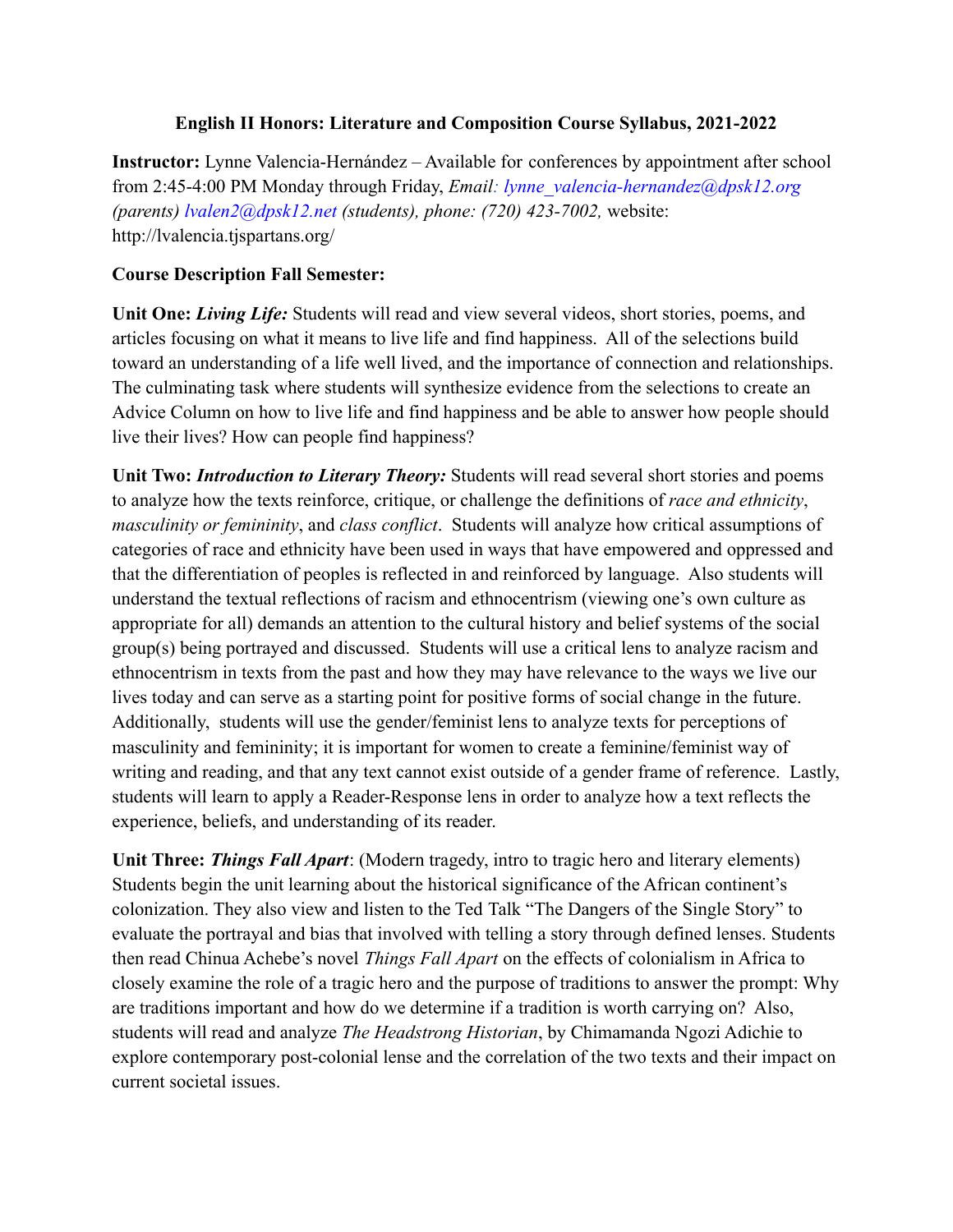### **English II Honors: Literature and Composition Course Syllabus, 2021-2022**

**Instructor:** Lynne Valencia-Hernández – Available for conferences by appointment after school from 2:45-4:00 PM Monday through Friday, *Email: lynne\_valencia-hernandez@dpsk12.org (parents) lvalen2@dpsk12.net (students), phone: (720) 423-7002,* website: http://lvalencia.tjspartans.org/

## **Course Description Fall Semester:**

**Unit One:** *Living Life:* Students will read and view several videos, short stories, poems, and articles focusing on what it means to live life and find happiness. All of the selections build toward an understanding of a life well lived, and the importance of connection and relationships. The culminating task where students will synthesize evidence from the selections to create an Advice Column on how to live life and find happiness and be able to answer how people should live their lives? How can people find happiness?

**Unit Two:** *Introduction to Literary Theory:* Students will read several short stories and poems to analyze how the texts reinforce, critique, or challenge the definitions of *race and ethnicity*, *masculinity or femininity*, and *class conflict*. Students will analyze how critical assumptions of categories of race and ethnicity have been used in ways that have empowered and oppressed and that the differentiation of peoples is reflected in and reinforced by language. Also students will understand the textual reflections of racism and ethnocentrism (viewing one's own culture as appropriate for all) demands an attention to the cultural history and belief systems of the social group(s) being portrayed and discussed. Students will use a critical lens to analyze racism and ethnocentrism in texts from the past and how they may have relevance to the ways we live our lives today and can serve as a starting point for positive forms of social change in the future. Additionally, students will use the gender/feminist lens to analyze texts for perceptions of masculinity and femininity; it is important for women to create a feminine/feminist way of writing and reading, and that any text cannot exist outside of a gender frame of reference. Lastly, students will learn to apply a Reader-Response lens in order to analyze how a text reflects the experience, beliefs, and understanding of its reader.

**Unit Three:** *Things Fall Apart*: (Modern tragedy, intro to tragic hero and literary elements) Students begin the unit learning about the historical significance of the African continent's colonization. They also view and listen to the Ted Talk "The Dangers of the Single Story" to evaluate the portrayal and bias that involved with telling a story through defined lenses. Students then read Chinua Achebe's novel *Things Fall Apart* on the effects of colonialism in Africa to closely examine the role of a tragic hero and the purpose of traditions to answer the prompt: Why are traditions important and how do we determine if a tradition is worth carrying on? Also, students will read and analyze *The Headstrong Historian*, by Chimamanda Ngozi Adichie to explore contemporary post-colonial lense and the correlation of the two texts and their impact on current societal issues.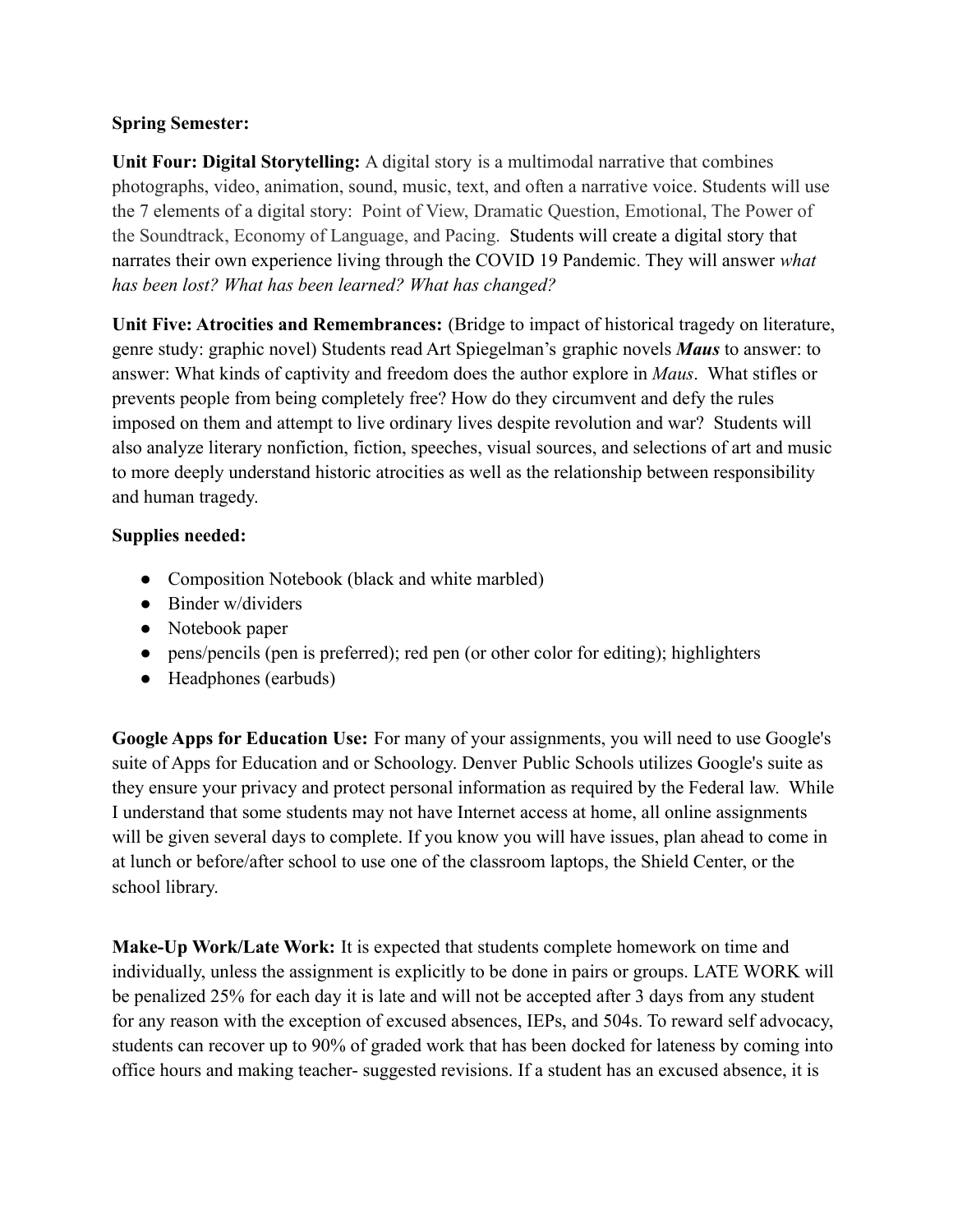## **Spring Semester:**

**Unit Four: Digital Storytelling:** A digital story is a multimodal narrative that combines photographs, video, animation, sound, music, text, and often a narrative voice. Students will use the 7 elements of a digital story: Point of View, Dramatic Question, Emotional, The Power of the Soundtrack, Economy of Language, and Pacing. Students will create a digital story that narrates their own experience living through the COVID 19 Pandemic. They will answer *what has been lost? What has been learned? What has changed?*

**Unit Five: Atrocities and Remembrances:** (Bridge to impact of historical tragedy on literature, genre study: graphic novel) Students read Art Spiegelman's graphic novels *Maus* to answer: to answer: What kinds of captivity and freedom does the author explore in *Maus*. What stifles or prevents people from being completely free? How do they circumvent and defy the rules imposed on them and attempt to live ordinary lives despite revolution and war? Students will also analyze literary nonfiction, fiction, speeches, visual sources, and selections of art and music to more deeply understand historic atrocities as well as the relationship between responsibility and human tragedy.

# **Supplies needed:**

- Composition Notebook (black and white marbled)
- Binder w/dividers
- Notebook paper
- pens/pencils (pen is preferred); red pen (or other color for editing); highlighters
- Headphones (earbuds)

**Google Apps for Education Use:** For many of your assignments, you will need to use Google's suite of Apps for Education and or Schoology. Denver Public Schools utilizes Google's suite as they ensure your privacy and protect personal information as required by the Federal law. While I understand that some students may not have Internet access at home, all online assignments will be given several days to complete. If you know you will have issues, plan ahead to come in at lunch or before/after school to use one of the classroom laptops, the Shield Center, or the school library.

**Make-Up Work/Late Work:** It is expected that students complete homework on time and individually, unless the assignment is explicitly to be done in pairs or groups. LATE WORK will be penalized 25% for each day it is late and will not be accepted after 3 days from any student for any reason with the exception of excused absences, IEPs, and 504s. To reward self advocacy, students can recover up to 90% of graded work that has been docked for lateness by coming into office hours and making teacher- suggested revisions. If a student has an excused absence, it is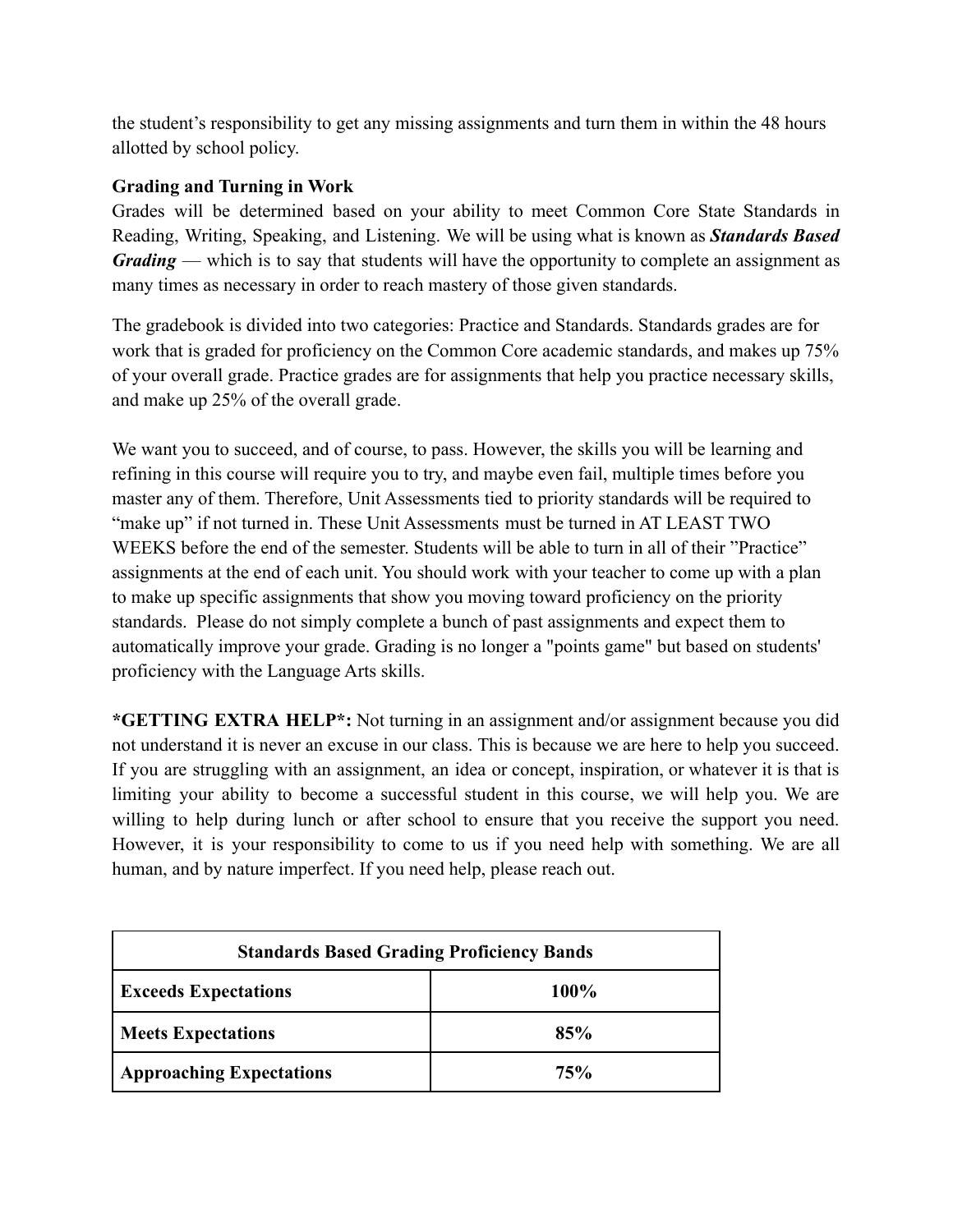the student's responsibility to get any missing assignments and turn them in within the 48 hours allotted by school policy.

### **Grading and Turning in Work**

Grades will be determined based on your ability to meet Common Core State Standards in Reading, Writing, Speaking, and Listening. We will be using what is known as *Standards Based Grading* — which is to say that students will have the opportunity to complete an assignment as many times as necessary in order to reach mastery of those given standards.

The gradebook is divided into two categories: Practice and Standards. Standards grades are for work that is graded for proficiency on the Common Core academic standards, and makes up 75% of your overall grade. Practice grades are for assignments that help you practice necessary skills, and make up 25% of the overall grade.

We want you to succeed, and of course, to pass. However, the skills you will be learning and refining in this course will require you to try, and maybe even fail, multiple times before you master any of them. Therefore, Unit Assessments tied to priority standards will be required to "make up" if not turned in. These Unit Assessments must be turned in AT LEAST TWO WEEKS before the end of the semester. Students will be able to turn in all of their "Practice" assignments at the end of each unit. You should work with your teacher to come up with a plan to make up specific assignments that show you moving toward proficiency on the priority standards. Please do not simply complete a bunch of past assignments and expect them to automatically improve your grade. Grading is no longer a "points game" but based on students' proficiency with the Language Arts skills.

**\*GETTING EXTRA HELP\*:** Not turning in an assignment and/or assignment because you did not understand it is never an excuse in our class. This is because we are here to help you succeed. If you are struggling with an assignment, an idea or concept, inspiration, or whatever it is that is limiting your ability to become a successful student in this course, we will help you. We are willing to help during lunch or after school to ensure that you receive the support you need. However, it is your responsibility to come to us if you need help with something. We are all human, and by nature imperfect. If you need help, please reach out.

| <b>Standards Based Grading Proficiency Bands</b> |             |  |
|--------------------------------------------------|-------------|--|
| <b>Exceeds Expectations</b>                      | <b>100%</b> |  |
| <b>Meets Expectations</b>                        | 85%         |  |
| <b>Approaching Expectations</b>                  | 75%         |  |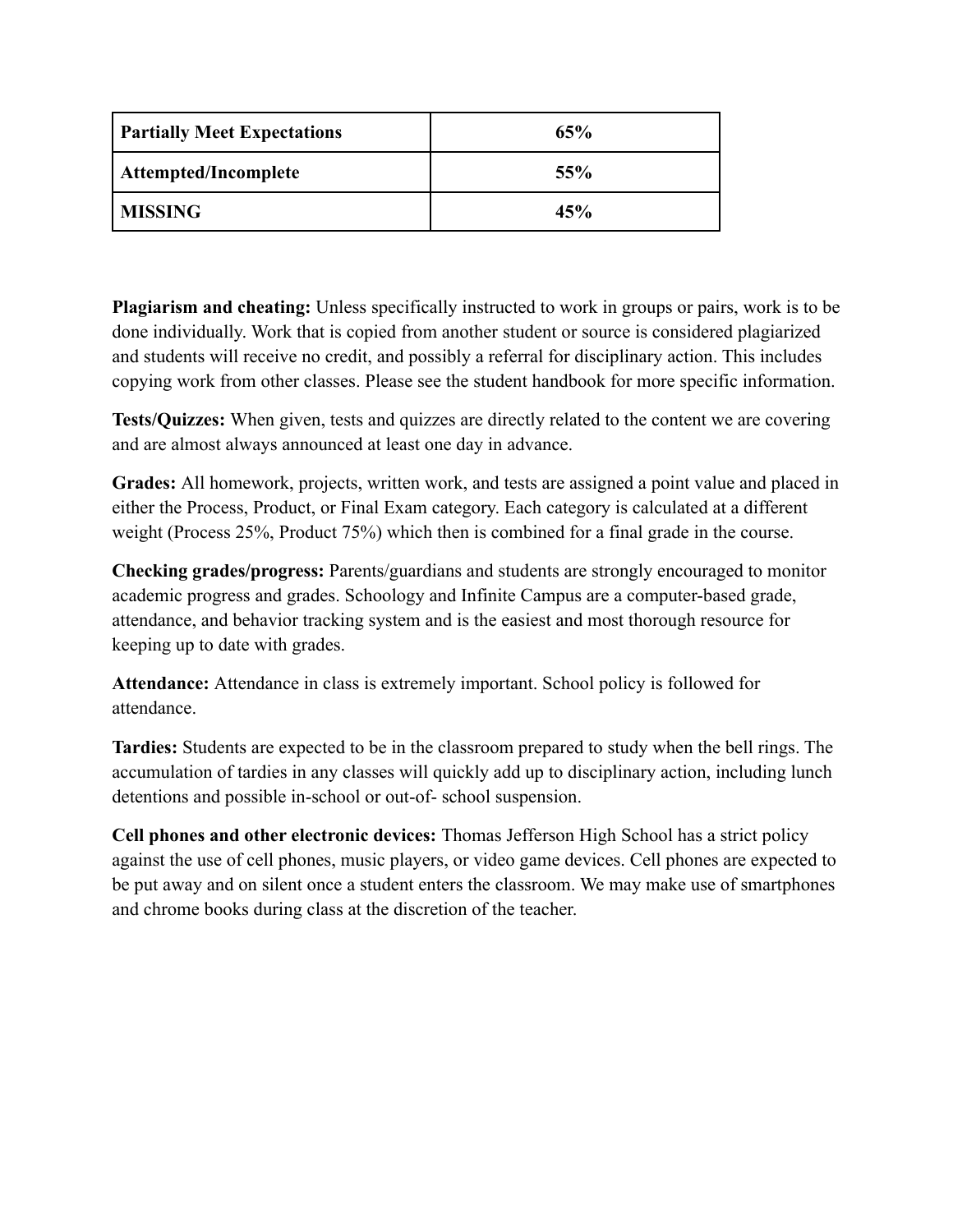| <b>Partially Meet Expectations</b> | 65% |
|------------------------------------|-----|
| Attempted/Incomplete               | 55% |
| <b>MISSING</b>                     | 45% |

**Plagiarism and cheating:** Unless specifically instructed to work in groups or pairs, work is to be done individually. Work that is copied from another student or source is considered plagiarized and students will receive no credit, and possibly a referral for disciplinary action. This includes copying work from other classes. Please see the student handbook for more specific information.

**Tests/Quizzes:** When given, tests and quizzes are directly related to the content we are covering and are almost always announced at least one day in advance.

**Grades:** All homework, projects, written work, and tests are assigned a point value and placed in either the Process, Product, or Final Exam category. Each category is calculated at a different weight (Process 25%, Product 75%) which then is combined for a final grade in the course.

**Checking grades/progress:** Parents/guardians and students are strongly encouraged to monitor academic progress and grades. Schoology and Infinite Campus are a computer-based grade, attendance, and behavior tracking system and is the easiest and most thorough resource for keeping up to date with grades.

**Attendance:** Attendance in class is extremely important. School policy is followed for attendance.

**Tardies:** Students are expected to be in the classroom prepared to study when the bell rings. The accumulation of tardies in any classes will quickly add up to disciplinary action, including lunch detentions and possible in-school or out-of- school suspension.

**Cell phones and other electronic devices:** Thomas Jefferson High School has a strict policy against the use of cell phones, music players, or video game devices. Cell phones are expected to be put away and on silent once a student enters the classroom. We may make use of smartphones and chrome books during class at the discretion of the teacher.